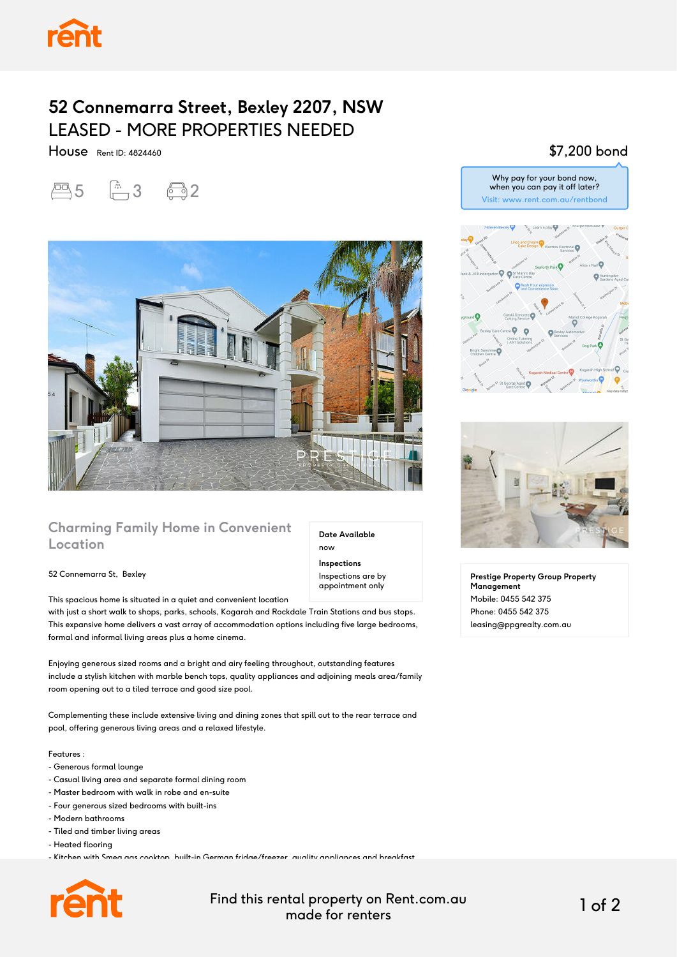

## **52 Connemarra Street, Bexley 2207, NSW** LEASED - MORE PROPERTIES NEEDED

House Rent ID: 4824460





#### **Charming Family Home in Convenient Location**

#### 52 Connemarra St, Bexley

This spacious home is situated in a quiet and convenient location

with just a short walk to shops, parks, schools, Kogarah and Rockdale Train Stations and bus stops. This expansive home delivers a vast array of accommodation options including five large bedrooms, formal and informal living areas plus a home cinema.

Enjoying generous sized rooms and a bright and airy feeling throughout, outstanding features include a stylish kitchen with marble bench tops, quality appliances and adjoining meals area/family room opening out to a tiled terrace and good size pool.

Complementing these include extensive living and dining zones that spill out to the rear terrace and pool, offering generous living areas and a relaxed lifestyle.

Features :

- Generous formal lounge
- Casual living area and separate formal dining room
- Master bedroom with walk in robe and en-suite
- Four generous sized bedrooms with built-ins
- Modern bathrooms
- Tiled and timber living areas
- Heated flooring

- Kitchen with Smeg gas cooktop, built-in German fridge/freezer, quality appliances and breakfast



Find this rental property on Rent.com.au made for renters 1 of 2

**Date Available**

now **Inspections** Inspections are by appointment only

### \$7,200 bond





**Prestige Property Group Property Management** Mobile: 0455 542 375 Phone: 0455 542 375 leasing@ppgrealty.com.au